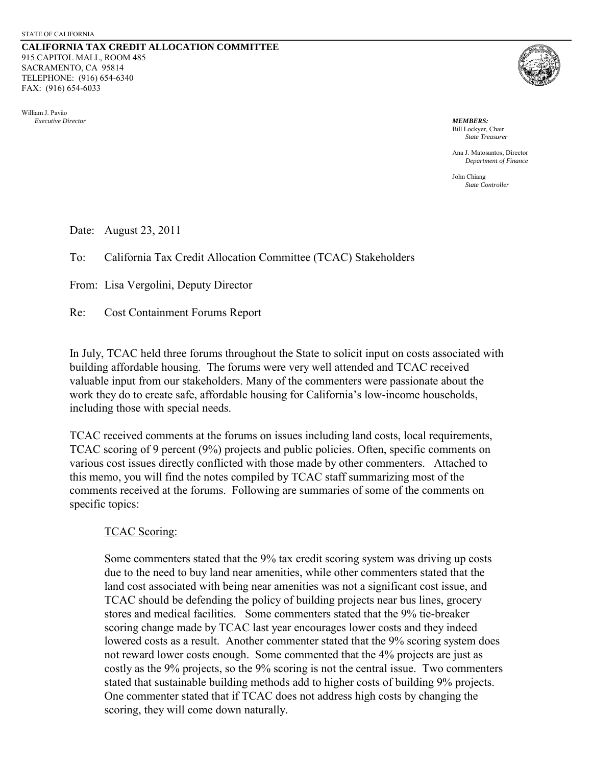**CALIFORNIA TAX CREDIT ALLOCATION COMMITTEE** 915 CAPITOL MALL, ROOM 485 SACRAMENTO, CA 95814 TELEPHONE: (916) 654-6340 FAX: (916) 654-6033

William J. Pavão  *Executive Director MEMBERS:*



 Bill Lockyer, Chair *State Treasurer*

 Ana J. Matosantos, Director *Department of Finance* 

 John Chiang *State Controller*

Date: August 23, 2011

To: California Tax Credit Allocation Committee (TCAC) Stakeholders

From: Lisa Vergolini, Deputy Director

Re: Cost Containment Forums Report

In July, TCAC held three forums throughout the State to solicit input on costs associated with building affordable housing. The forums were very well attended and TCAC received valuable input from our stakeholders. Many of the commenters were passionate about the work they do to create safe, affordable housing for California's low-income households, including those with special needs.

TCAC received comments at the forums on issues including land costs, local requirements, TCAC scoring of 9 percent (9%) projects and public policies. Often, specific comments on various cost issues directly conflicted with those made by other commenters. Attached to this memo, you will find the notes compiled by TCAC staff summarizing most of the comments received at the forums. Following are summaries of some of the comments on specific topics:

# TCAC Scoring:

Some commenters stated that the 9% tax credit scoring system was driving up costs due to the need to buy land near amenities, while other commenters stated that the land cost associated with being near amenities was not a significant cost issue, and TCAC should be defending the policy of building projects near bus lines, grocery stores and medical facilities. Some commenters stated that the 9% tie-breaker scoring change made by TCAC last year encourages lower costs and they indeed lowered costs as a result. Another commenter stated that the 9% scoring system does not reward lower costs enough. Some commented that the 4% projects are just as costly as the 9% projects, so the 9% scoring is not the central issue. Two commenters stated that sustainable building methods add to higher costs of building 9% projects. One commenter stated that if TCAC does not address high costs by changing the scoring, they will come down naturally.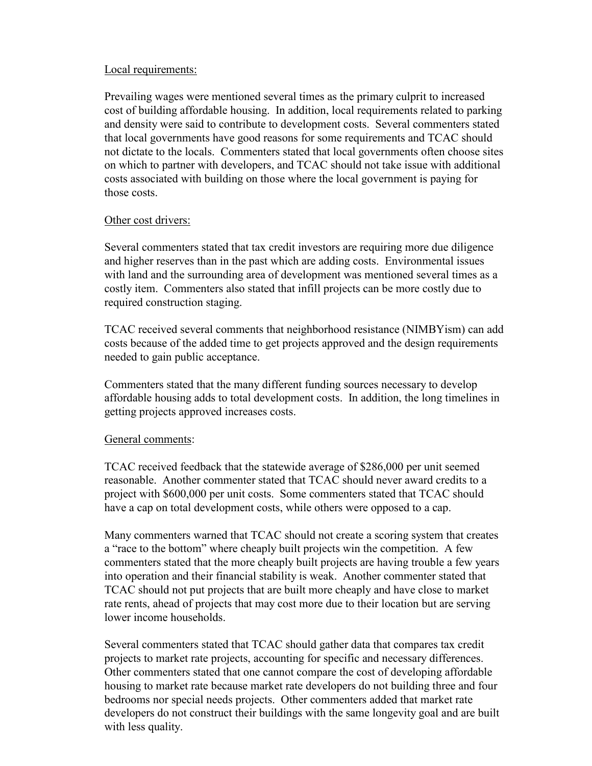## Local requirements:

Prevailing wages were mentioned several times as the primary culprit to increased cost of building affordable housing. In addition, local requirements related to parking and density were said to contribute to development costs. Several commenters stated that local governments have good reasons for some requirements and TCAC should not dictate to the locals. Commenters stated that local governments often choose sites on which to partner with developers, and TCAC should not take issue with additional costs associated with building on those where the local government is paying for those costs.

### Other cost drivers:

Several commenters stated that tax credit investors are requiring more due diligence and higher reserves than in the past which are adding costs. Environmental issues with land and the surrounding area of development was mentioned several times as a costly item. Commenters also stated that infill projects can be more costly due to required construction staging.

TCAC received several comments that neighborhood resistance (NIMBYism) can add costs because of the added time to get projects approved and the design requirements needed to gain public acceptance.

Commenters stated that the many different funding sources necessary to develop affordable housing adds to total development costs. In addition, the long timelines in getting projects approved increases costs.

# General comments:

TCAC received feedback that the statewide average of \$286,000 per unit seemed reasonable. Another commenter stated that TCAC should never award credits to a project with \$600,000 per unit costs. Some commenters stated that TCAC should have a cap on total development costs, while others were opposed to a cap.

Many commenters warned that TCAC should not create a scoring system that creates a "race to the bottom" where cheaply built projects win the competition. A few commenters stated that the more cheaply built projects are having trouble a few years into operation and their financial stability is weak. Another commenter stated that TCAC should not put projects that are built more cheaply and have close to market rate rents, ahead of projects that may cost more due to their location but are serving lower income households.

Several commenters stated that TCAC should gather data that compares tax credit projects to market rate projects, accounting for specific and necessary differences. Other commenters stated that one cannot compare the cost of developing affordable housing to market rate because market rate developers do not building three and four bedrooms nor special needs projects. Other commenters added that market rate developers do not construct their buildings with the same longevity goal and are built with less quality.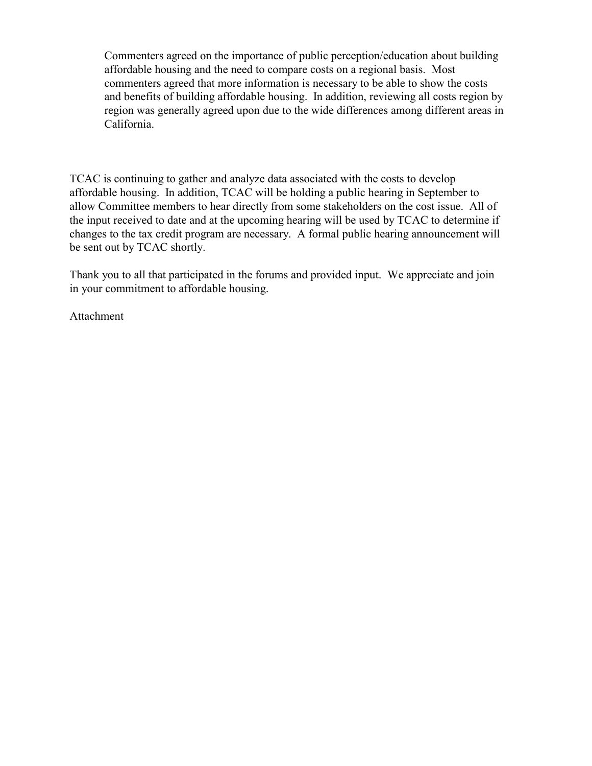Commenters agreed on the importance of public perception/education about building affordable housing and the need to compare costs on a regional basis. Most commenters agreed that more information is necessary to be able to show the costs and benefits of building affordable housing. In addition, reviewing all costs region by region was generally agreed upon due to the wide differences among different areas in California.

TCAC is continuing to gather and analyze data associated with the costs to develop affordable housing. In addition, TCAC will be holding a public hearing in September to allow Committee members to hear directly from some stakeholders on the cost issue. All of the input received to date and at the upcoming hearing will be used by TCAC to determine if changes to the tax credit program are necessary. A formal public hearing announcement will be sent out by TCAC shortly.

Thank you to all that participated in the forums and provided input. We appreciate and join in your commitment to affordable housing.

Attachment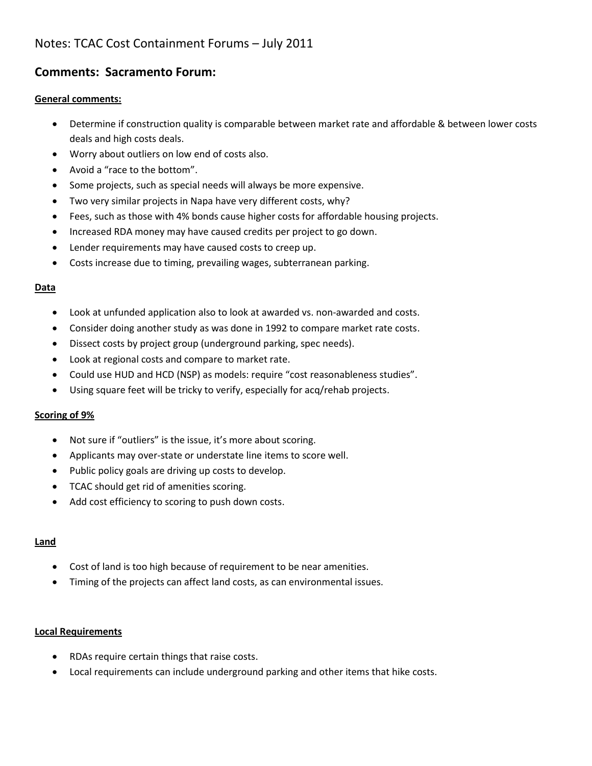# Notes: TCAC Cost Containment Forums – July 2011

# **Comments: Sacramento Forum:**

### **General comments:**

- Determine if construction quality is comparable between market rate and affordable & between lower costs deals and high costs deals.
- Worry about outliers on low end of costs also.
- Avoid a "race to the bottom".
- Some projects, such as special needs will always be more expensive.
- Two very similar projects in Napa have very different costs, why?
- Fees, such as those with 4% bonds cause higher costs for affordable housing projects.
- Increased RDA money may have caused credits per project to go down.
- Lender requirements may have caused costs to creep up.
- Costs increase due to timing, prevailing wages, subterranean parking.

### **Data**

- Look at unfunded application also to look at awarded vs. non-awarded and costs.
- Consider doing another study as was done in 1992 to compare market rate costs.
- Dissect costs by project group (underground parking, spec needs).
- Look at regional costs and compare to market rate.
- Could use HUD and HCD (NSP) as models: require "cost reasonableness studies".
- Using square feet will be tricky to verify, especially for acq/rehab projects.

# **Scoring of 9%**

- Not sure if "outliers" is the issue, it's more about scoring.
- Applicants may over-state or understate line items to score well.
- Public policy goals are driving up costs to develop.
- TCAC should get rid of amenities scoring.
- Add cost efficiency to scoring to push down costs.

### **Land**

- Cost of land is too high because of requirement to be near amenities.
- Timing of the projects can affect land costs, as can environmental issues.

#### **Local Requirements**

- RDAs require certain things that raise costs.
- Local requirements can include underground parking and other items that hike costs.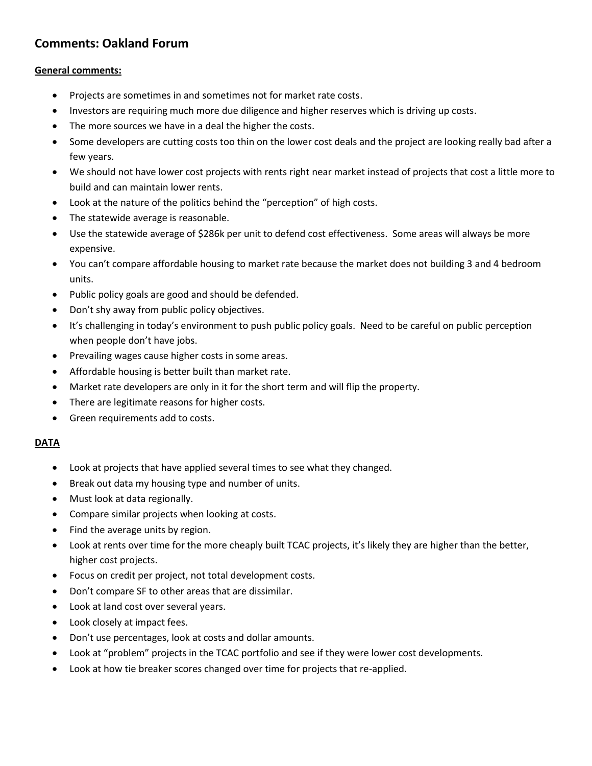# **Comments: Oakland Forum**

#### **General comments:**

- Projects are sometimes in and sometimes not for market rate costs.
- Investors are requiring much more due diligence and higher reserves which is driving up costs.
- The more sources we have in a deal the higher the costs.
- Some developers are cutting costs too thin on the lower cost deals and the project are looking really bad after a few years.
- We should not have lower cost projects with rents right near market instead of projects that cost a little more to build and can maintain lower rents.
- Look at the nature of the politics behind the "perception" of high costs.
- The statewide average is reasonable.
- Use the statewide average of \$286k per unit to defend cost effectiveness. Some areas will always be more expensive.
- You can't compare affordable housing to market rate because the market does not building 3 and 4 bedroom units.
- Public policy goals are good and should be defended.
- Don't shy away from public policy objectives.
- It's challenging in today's environment to push public policy goals. Need to be careful on public perception when people don't have jobs.
- Prevailing wages cause higher costs in some areas.
- Affordable housing is better built than market rate.
- Market rate developers are only in it for the short term and will flip the property.
- There are legitimate reasons for higher costs.
- Green requirements add to costs.

#### **DATA**

- Look at projects that have applied several times to see what they changed.
- Break out data my housing type and number of units.
- Must look at data regionally.
- Compare similar projects when looking at costs.
- Find the average units by region.
- Look at rents over time for the more cheaply built TCAC projects, it's likely they are higher than the better, higher cost projects.
- Focus on credit per project, not total development costs.
- Don't compare SF to other areas that are dissimilar.
- Look at land cost over several years.
- Look closely at impact fees.
- Don't use percentages, look at costs and dollar amounts.
- Look at "problem" projects in the TCAC portfolio and see if they were lower cost developments.
- Look at how tie breaker scores changed over time for projects that re-applied.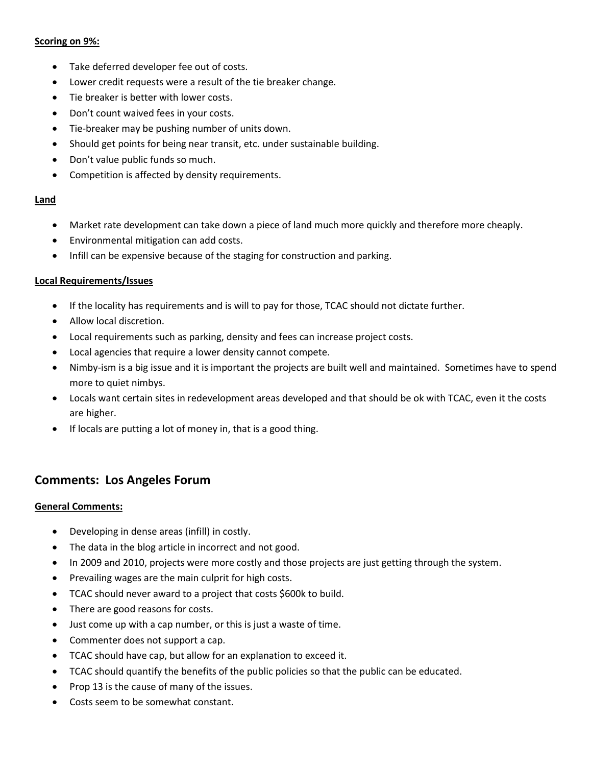### **Scoring on 9%:**

- Take deferred developer fee out of costs.
- Lower credit requests were a result of the tie breaker change.
- Tie breaker is better with lower costs.
- Don't count waived fees in your costs.
- Tie-breaker may be pushing number of units down.
- Should get points for being near transit, etc. under sustainable building.
- Don't value public funds so much.
- Competition is affected by density requirements.

#### **Land**

- Market rate development can take down a piece of land much more quickly and therefore more cheaply.
- Environmental mitigation can add costs.
- Infill can be expensive because of the staging for construction and parking.

#### **Local Requirements/Issues**

- If the locality has requirements and is will to pay for those, TCAC should not dictate further.
- Allow local discretion.
- Local requirements such as parking, density and fees can increase project costs.
- Local agencies that require a lower density cannot compete.
- Nimby-ism is a big issue and it is important the projects are built well and maintained. Sometimes have to spend more to quiet nimbys.
- Locals want certain sites in redevelopment areas developed and that should be ok with TCAC, even it the costs are higher.
- If locals are putting a lot of money in, that is a good thing.

# **Comments: Los Angeles Forum**

#### **General Comments:**

- Developing in dense areas (infill) in costly.
- The data in the blog article in incorrect and not good.
- In 2009 and 2010, projects were more costly and those projects are just getting through the system.
- Prevailing wages are the main culprit for high costs.
- TCAC should never award to a project that costs \$600k to build.
- There are good reasons for costs.
- Just come up with a cap number, or this is just a waste of time.
- Commenter does not support a cap.
- TCAC should have cap, but allow for an explanation to exceed it.
- TCAC should quantify the benefits of the public policies so that the public can be educated.
- Prop 13 is the cause of many of the issues.
- Costs seem to be somewhat constant.